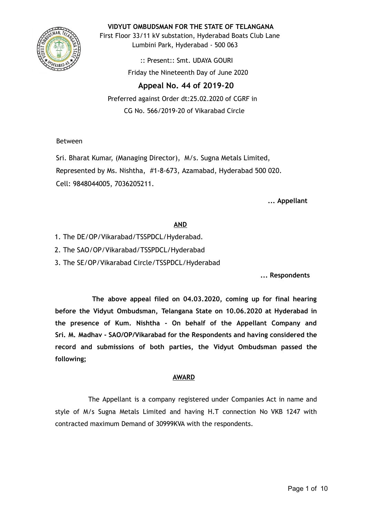

**VIDYUT OMBUDSMAN FOR THE STATE OF TELANGANA**

First Floor 33/11 kV substation, Hyderabad Boats Club Lane Lumbini Park, Hyderabad - 500 063

> :: Present:: Smt. UDAYA GOURI Friday the Nineteenth Day of June 2020

# **Appeal No. 44 of 2019-20**

Preferred against Order dt:25.02.2020 of CGRF in CG No. 566/2019-20 of Vikarabad Circle

Between

Sri. Bharat Kumar, (Managing Director), M/s. Sugna Metals Limited, Represented by Ms. Nishtha, #1-8-673, Azamabad, Hyderabad 500 020. Cell: 9848044005, 7036205211.

**... Appellant**

# **AND**

- 1. The DE/OP/Vikarabad/TSSPDCL/Hyderabad.
- 2. The SAO/OP/Vikarabad/TSSPDCL/Hyderabad
- 3. The SE/OP/Vikarabad Circle/TSSPDCL/Hyderabad

**... Respondents**

**The above appeal filed on 04.03.2020, coming up for final hearing before the Vidyut Ombudsman, Telangana State on 10.06.2020 at Hyderabad in the presence of Kum. Nishtha - On behalf of the Appellant Company and Sri. M. Madhav - SAO/OP/Vikarabad for the Respondents and having considered the record and submissions of both parties, the Vidyut Ombudsman passed the following;**

### **AWARD**

The Appellant is a company registered under Companies Act in name and style of M/s Sugna Metals Limited and having H.T connection No VKB 1247 with contracted maximum Demand of 30999KVA with the respondents.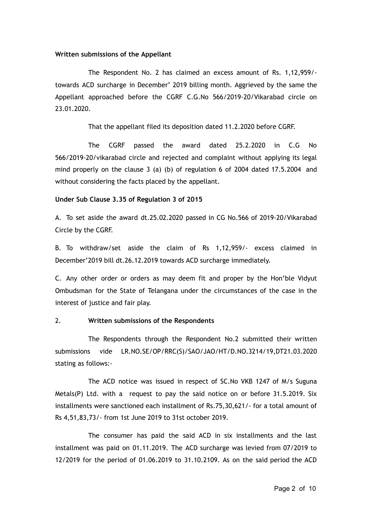#### **Written submissions of the Appellant**

The Respondent No. 2 has claimed an excess amount of Rs. 1,12,959/ towards ACD surcharge in December' 2019 billing month. Aggrieved by the same the Appellant approached before the CGRF C.G.No 566/2019-20/Vikarabad circle on 23.01.2020.

That the appellant filed its deposition dated 11.2.2020 before CGRF.

The CGRF passed the award dated 25.2.2020 in C.G No 566/2019-20/vikarabad circle and rejected and complaint without applying its legal mind properly on the clause 3 (a) (b) of regulation 6 of 2004 dated 17.5.2004 and without considering the facts placed by the appellant.

#### **Under Sub Clause 3.35 of Regulation 3 of 2015**

A. To set aside the award dt.25.02.2020 passed in CG No.566 of 2019-20/Vikarabad Circle by the CGRF.

B. To withdraw/set aside the claim of Rs 1,12,959/- excess claimed in December'2019 bill dt.26.12.2019 towards ACD surcharge immediately.

C. Any other order or orders as may deem fit and proper by the Hon'ble Vidyut Ombudsman for the State of Telangana under the circumstances of the case in the interest of justice and fair play.

#### 2. **Written submissions of the Respondents**

The Respondents through the Respondent No.2 submitted their written submissions vide LR.NO.SE/OP/RRC(S)/SAO/JAO/HT/D.NO.3214/19,DT21.03.2020 stating as follows:-

The ACD notice was issued in respect of SC.No VKB 1247 of M/s Suguna Metals(P) Ltd. with a request to pay the said notice on or before 31.5.2019. Six installments were sanctioned each installment of Rs.75,30,621/- for a total amount of Rs 4,51,83,73/- from 1st June 2019 to 31st october 2019.

The consumer has paid the said ACD in six installments and the last installment was paid on 01.11.2019. The ACD surcharge was levied from 07/2019 to 12/2019 for the period of 01.06.2019 to 31.10.2109. As on the said period the ACD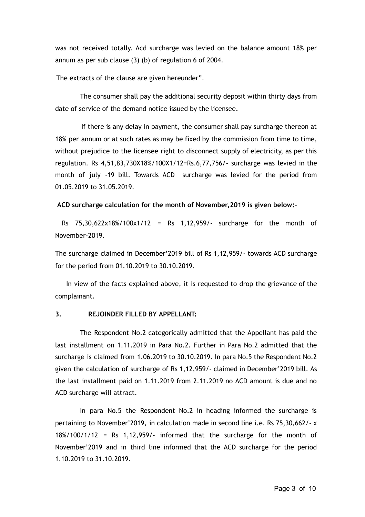was not received totally. Acd surcharge was levied on the balance amount 18% per annum as per sub clause (3) (b) of regulation 6 of 2004.

The extracts of the clause are given hereunder".

The consumer shall pay the additional security deposit within thirty days from date of service of the demand notice issued by the licensee.

If there is any delay in payment, the consumer shall pay surcharge thereon at 18% per annum or at such rates as may be fixed by the commission from time to time, without prejudice to the licensee right to disconnect supply of electricity, as per this regulation. Rs 4,51,83,730X18%/100X1/12=Rs.6,77,756/- surcharge was levied in the month of july -19 bill. Towards ACD surcharge was levied for the period from 01.05.2019 to 31.05.2019.

**ACD surcharge calculation for the month of November,2019 is given below:-**

Rs 75,30,622x18%/100x1/12 = Rs 1,12,959/- surcharge for the month of November-2019.

The surcharge claimed in December'2019 bill of Rs 1,12,959/- towards ACD surcharge for the period from 01.10.2019 to 30.10.2019.

In view of the facts explained above, it is requested to drop the grievance of the complainant.

### **3. REJOINDER FILLED BY APPELLANT:**

The Respondent No.2 categorically admitted that the Appellant has paid the last installment on 1.11.2019 in Para No.2. Further in Para No.2 admitted that the surcharge is claimed from 1.06.2019 to 30.10.2019. In para No.5 the Respondent No.2 given the calculation of surcharge of Rs 1,12,959/- claimed in December'2019 bill. As the last installment paid on 1.11.2019 from 2.11.2019 no ACD amount is due and no ACD surcharge will attract.

In para No.5 the Respondent No.2 in heading informed the surcharge is pertaining to November'2019, in calculation made in second line i.e. Rs 75,30,662/- x  $18\%/100/1/12$  = Rs 1,12,959/- informed that the surcharge for the month of November'2019 and in third line informed that the ACD surcharge for the period 1.10.2019 to 31.10.2019.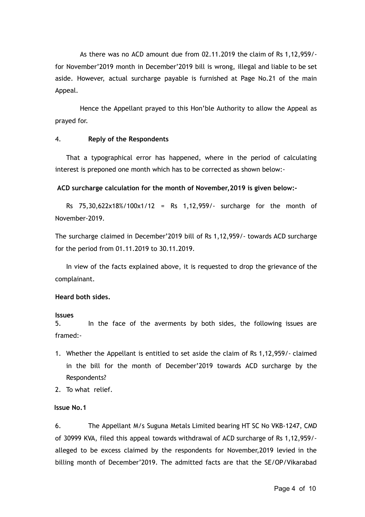As there was no ACD amount due from 02.11.2019 the claim of Rs 1,12,959/ for November'2019 month in December'2019 bill is wrong, illegal and liable to be set aside. However, actual surcharge payable is furnished at Page No.21 of the main Appeal.

Hence the Appellant prayed to this Hon'ble Authority to allow the Appeal as prayed for.

### 4. **Reply of the Respondents**

That a typographical error has happened, where in the period of calculating interest is preponed one month which has to be corrected as shown below:-

### **ACD surcharge calculation for the month of November,2019 is given below:-**

Rs 75,30,622x18%/100x1/12 = Rs 1,12,959/- surcharge for the month of November-2019.

The surcharge claimed in December'2019 bill of Rs 1,12,959/- towards ACD surcharge for the period from 01.11.2019 to 30.11.2019.

In view of the facts explained above, it is requested to drop the grievance of the complainant.

### **Heard both sides.**

### **Issues**

5. In the face of the averments by both sides, the following issues are framed:-

- 1. Whether the Appellant is entitled to set aside the claim of Rs 1,12,959/- claimed in the bill for the month of December'2019 towards ACD surcharge by the Respondents?
- 2. To what relief.

### **Issue No.1**

6. The Appellant M/s Suguna Metals Limited bearing HT SC No VKB-1247, CMD of 30999 KVA, filed this appeal towards withdrawal of ACD surcharge of Rs 1,12,959/ alleged to be excess claimed by the respondents for November,2019 levied in the billing month of December'2019. The admitted facts are that the SE/OP/Vikarabad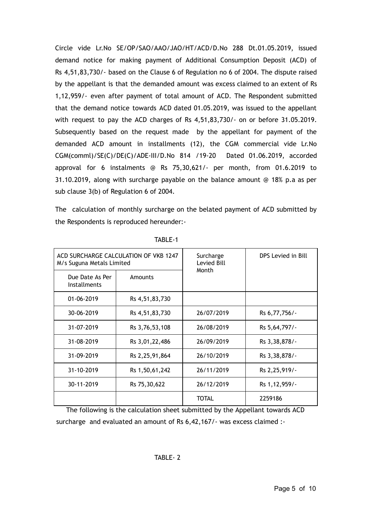Circle vide Lr.No SE/OP/SAO/AAO/JAO/HT/ACD/D.No 288 Dt.01.05.2019, issued demand notice for making payment of Additional Consumption Deposit (ACD) of Rs 4,51,83,730/- based on the Clause 6 of Regulation no 6 of 2004. The dispute raised by the appellant is that the demanded amount was excess claimed to an extent of Rs 1,12,959/- even after payment of total amount of ACD. The Respondent submitted that the demand notice towards ACD dated 01.05.2019, was issued to the appellant with request to pay the ACD charges of Rs 4,51,83,730/- on or before 31.05.2019. Subsequently based on the request made by the appellant for payment of the demanded ACD amount in installments (12), the CGM commercial vide Lr.No CGM(comml)/SE(C)/DE(C)/ADE-III/D.No 814 /19-20 Dated 01.06.2019, accorded approval for 6 instalments @ Rs 75,30,621/- per month, from 01.6.2019 to 31.10.2019, along with surcharge payable on the balance amount @ 18% p.a as per sub clause 3(b) of Regulation 6 of 2004.

The calculation of monthly surcharge on the belated payment of ACD submitted by the Respondents is reproduced hereunder:-

| M/s Suguna Metals Limited              | ACD SURCHARGE CALCULATION OF VKB 1247 | Surcharge<br>Levied Bill | DPS Levied in Bill |  |
|----------------------------------------|---------------------------------------|--------------------------|--------------------|--|
| Due Date As Per<br><b>Installments</b> | Amounts                               | Month                    |                    |  |
| 01-06-2019<br>Rs 4,51,83,730           |                                       |                          |                    |  |
| 30-06-2019                             | Rs 4,51,83,730                        | 26/07/2019               | Rs 6,77,756/-      |  |
| 31-07-2019                             | Rs 3,76,53,108                        | 26/08/2019               | Rs 5,64,797/-      |  |
| 31-08-2019                             | Rs 3,01,22,486                        | 26/09/2019               | Rs 3,38,878/-      |  |
| 31-09-2019                             | Rs 2, 25, 91, 864                     | 26/10/2019               | Rs 3,38,878/-      |  |
| 31-10-2019                             | Rs 1,50,61,242                        | 26/11/2019               | Rs 2, 25, 919/-    |  |
| 30-11-2019<br>Rs 75,30,622             |                                       | 26/12/2019               | Rs 1, 12, 959/-    |  |
|                                        |                                       | TOTAL                    | 2259186            |  |

TABLE-1

The following is the calculation sheet submitted by the Appellant towards ACD surcharge and evaluated an amount of Rs 6,42,167/- was excess claimed :-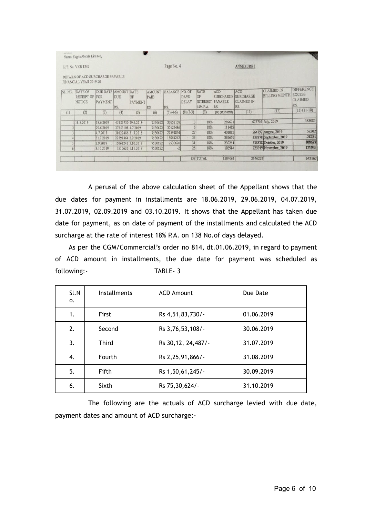| <b>L'Arkens</b> | Name: Sugna Metals Limited,                                |                                        |                   |                             |                              |                               |               |                                                  |                                                            |                                       |                                           |                                                             |
|-----------------|------------------------------------------------------------|----------------------------------------|-------------------|-----------------------------|------------------------------|-------------------------------|---------------|--------------------------------------------------|------------------------------------------------------------|---------------------------------------|-------------------------------------------|-------------------------------------------------------------|
|                 | H.T. No. VKB 1247                                          |                                        |                   |                             |                              | Page No. 4                    |               |                                                  |                                                            | <b>ANNEXURE I</b>                     |                                           |                                                             |
|                 | DETAILS OF ACD SURCHARGE PAYABLE<br>FINANCIAL YEAR 2019-20 |                                        |                   |                             |                              |                               |               |                                                  |                                                            |                                       |                                           |                                                             |
| SL. NO.         | DATE OF<br><b>RECEIPT OF FOR</b><br>NOTICE                 | <b>DUE DATE AMOUNT DATE</b><br>PAYMENT | DUE<br>RS.        | <b>OF</b><br><b>PAYMENT</b> | <b>AMOUNT</b><br>PAID<br>RS. | <b>BALANCE NO. OF</b><br>IRS. | DAYS<br>DELAY | <b>RATE</b><br>OF<br><b>INTEREST</b><br>18% P.A. | <b>ACD</b><br><b>SURCHARGE SURCHARGE</b><br>PAYABLE<br>RS. | ACD<br><b>CLAIMED IN</b><br><b>RS</b> | <b>CLAIMED IN</b><br><b>BILLING MONTH</b> | <b>DIFFERENCE</b><br><b>EXCESS</b><br><b>CLAIMED</b><br>RS. |
| (1)             | (2)                                                        | (3)                                    | (4)               | (5)                         | (6)                          | $(7)(4-6)$                    | $(8)(5-3)$    | (9)                                              | $(10)$ $(4X9/365X8)$                                       | (11)                                  | (12)                                      | $(13)(11-10)$                                               |
|                 | 18.5.2019                                                  | 18.6.2019                              |                   | 45183730 29.6.2019          | 7530622                      | 37653108                      | 13            | 18%                                              | 289671                                                     |                                       | 677756 July, 2019                         | 388085                                                      |
|                 |                                                            | 29.6.2019                              | 37653108 4.7.2019 |                             | 7530622                      | 30122486                      |               | 18%                                              | 111412                                                     |                                       |                                           |                                                             |
|                 |                                                            | 4.7.2019                               |                   | 30122486 31.7.2019          | 7530622                      | 22591864                      | 27            | 18%                                              | 401083                                                     |                                       | 564797 August, 2019                       | 52302                                                       |
|                 |                                                            | 31.7.2019                              | 22591864 2.9.2019 |                             | 7530622                      | 15061242                      | 33            | 18%                                              | 367659                                                     |                                       | 338878 September, 2019                    | $-28781$                                                    |
|                 |                                                            | 2.9.2019                               |                   | 15061242 3.10.2019          | 7530622                      | 7530620                       | 31            | 18%                                              | 230251                                                     |                                       | 338878 October, 2019                      | 108627                                                      |
|                 |                                                            | 3.10.2019                              |                   | 7530620 1.11.2019           | 7530622                      | $-2$                          | 28            | 18%                                              | 103984                                                     |                                       | 225919 November, 2019                     | 121935                                                      |
|                 |                                                            |                                        |                   |                             |                              |                               |               | 138 TOTAL                                        | 1504061                                                    | 2146228                               |                                           | 642167                                                      |

A perusal of the above calculation sheet of the Appellant shows that the due dates for payment in installments are 18.06.2019, 29.06.2019, 04.07.2019, 31.07.2019, 02.09.2019 and 03.10.2019. It shows that the Appellant has taken due date for payment, as on date of payment of the installments and calculated the ACD surcharge at the rate of interest 18% P.A. on 138 No.of days delayed.

As per the CGM/Commercial's order no 814, dt.01.06.2019, in regard to payment of ACD amount in installments, the due date for payment was scheduled as following:- TABLE- 3

| Sl.N<br>0. | <b>Installments</b> | <b>ACD Amount</b>    | Due Date   |
|------------|---------------------|----------------------|------------|
| 1.         | First               | Rs 4,51,83,730/-     | 01.06.2019 |
| 2.         | Second              | Rs 3,76,53,108/-     | 30.06.2019 |
| 3.         | <b>Third</b>        | Rs 30, 12, 24, 487/- | 31.07.2019 |
| 4.         | Fourth              | Rs 2, 25, 91, 866/-  | 31.08.2019 |
| 5.         | Fifth               | Rs 1,50,61,245/-     | 30.09.2019 |
| 6.         | Sixth               | Rs 75,30,624/-       | 31.10.2019 |

The following are the actuals of ACD surcharge levied with due date, payment dates and amount of ACD surcharge:-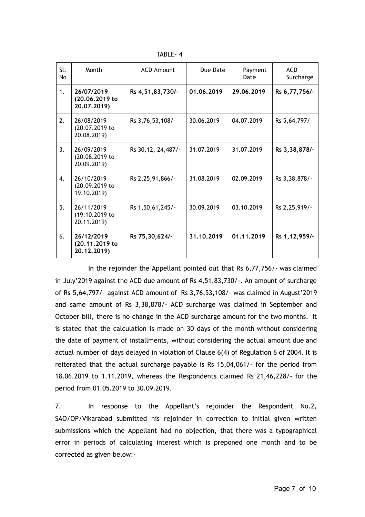TABLE- 4

| Sl.<br>No          | Month                                       | <b>ACD Amount</b>    | Due Date   | Payment<br>Date | <b>ACD</b><br>Surcharge |
|--------------------|---------------------------------------------|----------------------|------------|-----------------|-------------------------|
| 1.                 | 26/07/2019<br>(20.06.2019 to<br>20.07.2019) | Rs 4,51,83,730/-     | 01.06.2019 | 29.06.2019      | Rs 6,77,756/-           |
| 2.                 | 26/08/2019<br>(20.07.2019 to<br>20.08.2019) | Rs 3,76,53,108/-     | 30.06.2019 | 04.07.2019      | Rs 5,64,797/-           |
| 3.                 | 26/09/2019<br>(20.08.2019 to<br>20.09.2019) | Rs 30, 12, 24, 487/- | 31.07.2019 | 31.07.2019      | Rs 3,38,878/-           |
| $\boldsymbol{4}$ . | 26/10/2019<br>(20.09.2019 to<br>19.10.2019) | Rs 2, 25, 91, 866/-  | 31.08.2019 | 02.09.2019      | Rs 3, 38, 878/-         |
| 5.                 | 26/11/2019<br>(19.10.2019 to<br>20.11.2019) | Rs 1,50,61,245/-     | 30.09.2019 | 03.10.2019      | Rs 2, 25, 919/-         |
| 6.                 | 26/12/2019<br>(20.11.2019 to<br>20.12.2019) | Rs 75,30,624/-       | 31,10,2019 | 01.11.2019      | Rs 1, 12, 959/-         |

In the rejoinder the Appellant pointed out that Rs 6,77,756/- was claimed in July'2019 against the ACD due amount of Rs 4,51,83,730/-. An amount of surcharge of Rs 5,64,797/- against ACD amount of Rs 3,76,53,108/- was claimed in August'2019 and same amount of Rs 3,38,878/- ACD surcharge was claimed in September and October bill, there is no change in the ACD surcharge amount for the two months. It is stated that the calculation is made on 30 days of the month without considering the date of payment of installments, without considering the actual amount due and actual number of days delayed in violation of Clause 6(4) of Regulation 6 of 2004. It is reiterated that the actual surcharge payable is Rs 15,04,061/- for the period from 18.06.2019 to 1.11.2019, whereas the Respondents claimed Rs 21,46,228/- for the period from 01.05.2019 to 30.09.2019.

7. In response to the Appellant's rejoinder the Respondent No.2, SAO/OP/Vikarabad submitted his rejoinder in correction to initial given written submissions which the Appellant had no objection, that there was a typographical error in periods of calculating interest which is preponed one month and to be corrected as given below:-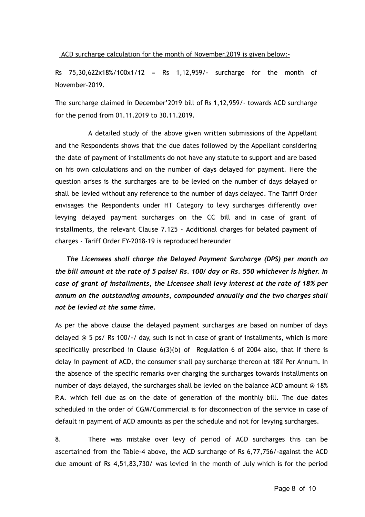ACD surcharge calculation for the month of November,2019 is given below:-

Rs 75,30,622x18%/100x1/12 = Rs 1,12,959/- surcharge for the month of November-2019.

The surcharge claimed in December'2019 bill of Rs 1,12,959/- towards ACD surcharge for the period from 01.11.2019 to 30.11.2019.

A detailed study of the above given written submissions of the Appellant and the Respondents shows that the due dates followed by the Appellant considering the date of payment of installments do not have any statute to support and are based on his own calculations and on the number of days delayed for payment. Here the question arises is the surcharges are to be levied on the number of days delayed or shall be levied without any reference to the number of days delayed. The Tariff Order envisages the Respondents under HT Category to levy surcharges differently over levying delayed payment surcharges on the CC bill and in case of grant of installments, the relevant Clause 7.125 - Additional charges for belated payment of charges - Tariff Order FY-2018-19 is reproduced hereunder

*The Licensees shall charge the Delayed Payment Surcharge (DPS) per month on the bill amount at the rate of 5 paise/ Rs. 100/ day or Rs. 550 whichever is higher. In case of grant of installments, the Licensee shall levy interest at the rate of 18% per annum on the outstanding amounts, compounded annually and the two charges shall not be levied at the same time.*

As per the above clause the delayed payment surcharges are based on number of days delayed @ 5 ps/ Rs 100/-/ day, such is not in case of grant of installments, which is more specifically prescribed in Clause  $6(3)(b)$  of Regulation 6 of 2004 also, that if there is delay in payment of ACD, the consumer shall pay surcharge thereon at 18% Per Annum. In the absence of the specific remarks over charging the surcharges towards installments on number of days delayed, the surcharges shall be levied on the balance ACD amount @ 18% P.A. which fell due as on the date of generation of the monthly bill. The due dates scheduled in the order of CGM/Commercial is for disconnection of the service in case of default in payment of ACD amounts as per the schedule and not for levying surcharges.

8. There was mistake over levy of period of ACD surcharges this can be ascertained from the Table-4 above, the ACD surcharge of Rs 6,77,756/-against the ACD due amount of Rs 4,51,83,730/ was levied in the month of July which is for the period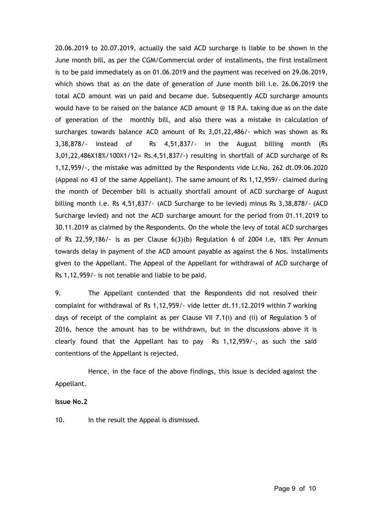20.06.2019 to 20.07.2019, actually the said ACD surcharge is liable to be shown in the June month bill, as per the CGM/Commercial order of installments, the first installment is to be paid immediately as on 01.06.2019 and the payment was received on 29.06.2019, which shows that as on the date of generation of June month bill i.e. 26.06.2019 the total ACD amount was un paid and became due. Subsequently ACD surcharge amounts would have to be raised on the balance ACD amount @ 18 P.A. taking due as on the date of generation of the monthly bill, and also there was a mistake in calculation of surcharges towards balance ACD amount of Rs 3,01,22,486/- which was shown as Rs 3,38,878/- instead of Rs 4,51,837/- in the August billing month (Rs 3,01,22,486X18%/100X1/12= Rs.4,51,837/-) resulting in shortfall of ACD surcharge of Rs 1,12,959/-, the mistake was admitted by the Respondents vide Lr.No. 262 dt.09.06.2020 (Appeal no 43 of the same Appellant). The same amount of Rs 1,12,959/- claimed during the month of December bill is actually shortfall amount of ACD surcharge of August billing month i.e. Rs 4,51,837/- (ACD Surcharge to be levied) minus Rs 3,38,878/- (ACD Surcharge levied) and not the ACD surcharge amount for the period from 01.11.2019 to 30.11.2019 as claimed by the Respondents. On the whole the levy of total ACD surcharges of Rs 22,59,186/ $\cdot$  is as per Clause 6(3)(b) Regulation 6 of 2004 i.e, 18% Per Annum towards delay in payment of the ACD amount payable as against the 6 Nos. installments given to the Appellant. The Appeal of the Appellant for withdrawal of ACD surcharge of Rs 1,12,959/- is not tenable and liable to be paid.

9. The Appellant contended that the Respondents did not resolved their complaint for withdrawal of Rs 1,12,959/- vide letter dt.11.12.2019 within 7 working days of receipt of the complaint as per Clause VII 7.1(i) and (ii) of Regulation 5 of 2016, hence the amount has to be withdrawn, but in the discussions above it is clearly found that the Appellant has to pay Rs 1,12,959/-, as such the said contentions of the Appellant is rejected.

Hence, in the face of the above findings, this issue is decided against the Appellant.

### **Issue No.2**

10. In the result the Appeal is dismissed.